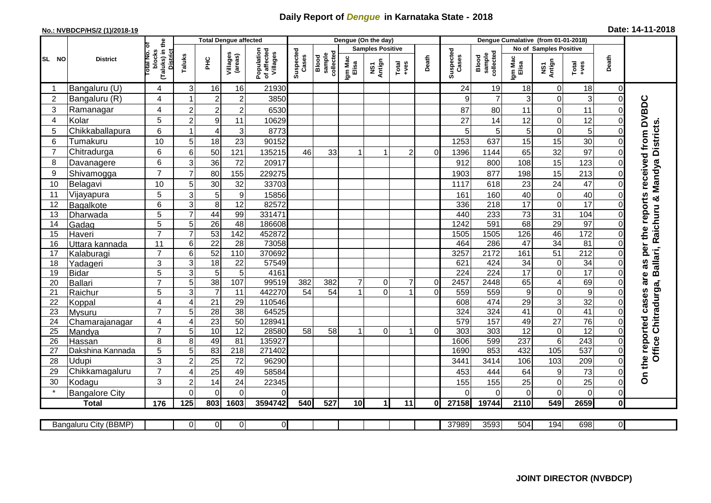## **Daily Report of** *Dengue* **in Karnataka State - 2018**

## **No.: NVBDCP/HS/2 (1)/2018-19 Date: 14-11-2018**

|                | <b>District</b>          |                                                              | <b>Total Dengue affected</b> |                       |                       |                                       |                    |                              |                         | Dengue (On the day) |                |                |                    |                              |                       |                                   |                  |                         |                                        |
|----------------|--------------------------|--------------------------------------------------------------|------------------------------|-----------------------|-----------------------|---------------------------------------|--------------------|------------------------------|-------------------------|---------------------|----------------|----------------|--------------------|------------------------------|-----------------------|-----------------------------------|------------------|-------------------------|----------------------------------------|
|                |                          |                                                              |                              |                       |                       |                                       |                    |                              | <b>Samples Positive</b> |                     |                |                |                    |                              |                       | No of Samples Positive            |                  |                         |                                        |
| SL NO          |                          | (Taluks) in the<br>Total No. of<br>blocks<br><b>District</b> | Taluks                       | PHC                   | Villages<br>(areas)   | Population<br>of affected<br>Villages | Suspected<br>Cases | sample<br>collected<br>Blood | Igm Mac<br>Elisa        | NS1<br>Antign       | Total<br>+ves  | Death          | Suspected<br>Cases | collected<br>Blood<br>sample | Igm Mac<br>Elisa      | NS1<br>Antign                     | Total<br>+ves    | Death                   |                                        |
| -1             | Bangaluru (U)            | 4                                                            | 3                            | 16                    | 16                    | 21930                                 |                    |                              |                         |                     |                |                | 24                 | 19                           | 18                    | $\mathbf 0$                       | 18               | 0                       |                                        |
| $\overline{2}$ | Bangaluru (R)            | 4                                                            | -1                           | $\overline{2}$        | $\overline{c}$        | 3850                                  |                    |                              |                         |                     |                |                | 9                  | $\overline{7}$               | 3                     | $\mathbf 0$                       | 3                | $\mathbf 0$             |                                        |
| 3              | Ramanagar                | 4                                                            | $\overline{2}$               | $\overline{2}$        | $\overline{2}$        | 6530                                  |                    |                              |                         |                     |                |                | 87                 | 80                           | 11                    | $\mathbf 0$                       | 11               | $\Omega$                | as per the reports received from DVBDC |
| 4              | Kolar                    | 5                                                            | $\overline{2}$               | 9                     | 11                    | 10629                                 |                    |                              |                         |                     |                |                | 27                 | 14                           | 12                    | $\mathbf 0$                       | 12               | 0                       |                                        |
| 5              | Chikkaballapura          | 6                                                            | 1                            | $\overline{4}$        | 3                     | 8773                                  |                    |                              |                         |                     |                |                | 5                  | 5                            | 5                     | $\overline{0}$                    | 5                | $\Omega$                | Mandya Districts                       |
| 6              | Tumakuru                 | 10                                                           | 5                            | 18                    | 23                    | 90152                                 |                    |                              |                         |                     |                |                | 1253               | 637                          | 15                    | 15                                | 30               | $\Omega$                |                                        |
| 7              | Chitradurga              | 6                                                            | 6                            | 50                    | 121                   | 135215                                | 46                 | 33                           |                         |                     | $\overline{c}$ | $\Omega$       | 1396               | 1144                         | 65                    | 32                                | 97               | $\Omega$                |                                        |
| 8              | Davanagere               | 6                                                            | 3                            | 36                    | 72                    | 20917                                 |                    |                              |                         |                     |                |                | 912                | 800                          | 108                   | 15                                | 123              | $\mathbf 0$             |                                        |
| 9              | Shivamogga               | $\overline{7}$                                               | $\overline{7}$               | 80                    | 155                   | 229275                                |                    |                              |                         |                     |                |                | 1903               | 877                          | 198                   | 15                                | 213              | $\mathbf 0$             |                                        |
| 10             | Belagavi                 | 10                                                           | 5                            | 30                    | 32                    | 33703                                 |                    |                              |                         |                     |                |                | 1117               | 618                          | 23                    | $\overline{24}$                   | 47               | $\Omega$                |                                        |
| 11             | Vijayapura               | 5                                                            | 3                            | 5                     | 9                     | 15856                                 |                    |                              |                         |                     |                |                | 161                | 160                          | 40                    | $\mathbf 0$                       | 40               | $\mathbf 0$             | ×                                      |
| 12             | Bagalkote                | 6                                                            | 3                            | 8                     | $\overline{12}$       | 82572                                 |                    |                              |                         |                     |                |                | 336                | $\overline{218}$             | $\overline{17}$       | $\overline{0}$                    | 17               | $\Omega$                |                                        |
| 13             | Dharwada                 | $\overline{5}$                                               | $\overline{7}$               | 44                    | 99                    | 331471                                |                    |                              |                         |                     |                |                | 440                | 233                          | $\overline{73}$       | 31                                | 104              | $\mathbf 0$             |                                        |
| 14             | Gadag                    | $\overline{5}$                                               | 5                            | $\overline{26}$       | $\overline{48}$       | 186608                                |                    |                              |                         |                     |                |                | 1242               | 591                          | 68                    | 29                                | 97               | $\mathbf 0$             |                                        |
| 15             | Haveri                   | $\overline{7}$                                               | 7                            | 53                    | 142                   | 452872                                |                    |                              |                         |                     |                |                | 1505               | 1505                         | 126                   | 46                                | 172              | $\mathbf 0$             | Ballari, Raichuru                      |
| 16             | Uttara kannada           | 11                                                           | 6                            | $\overline{22}$       | 28                    | 73058                                 |                    |                              |                         |                     |                |                | 464                | 286                          | $\overline{47}$       | 34                                | 81               | $\mathbf 0$             |                                        |
| 17             | Kalaburagi               | $\overline{7}$                                               | 6                            | 52                    | 110                   | 370692                                |                    |                              |                         |                     |                |                | 3257               | 2172                         | 161                   | 51                                | $\overline{212}$ | $\Omega$                |                                        |
| 18             | Yadageri                 | 3                                                            | 3                            | 18                    | 22                    | 57549                                 |                    |                              |                         |                     |                |                | 621                | 424                          | 34                    | $\boldsymbol{0}$                  | 34               | $\Omega$                |                                        |
| 19             | <b>Bidar</b>             | 5                                                            | 3                            | 5                     | 5                     | 4161                                  |                    |                              |                         |                     |                |                | 224                | $\overline{224}$             | 17                    | $\overline{0}$                    | 17               | $\Omega$                | are                                    |
| 20             | Ballari                  | $\overline{7}$                                               | 5                            | $\overline{38}$       | 107                   | 99519                                 | 382                | 382                          | $\overline{7}$          | $\overline{0}$      | $\overline{7}$ | $\overline{0}$ | 2457               | 2448                         | 65                    | $\overline{\mathbf{4}}$           | 69               | $\mathbf 0$             | Chitradurga,                           |
| 21             | Raichur                  | $\overline{5}$                                               | 3                            | $\overline{7}$        | $\overline{11}$       | 442270                                | $\overline{54}$    | 54                           |                         | $\Omega$            |                | $\Omega$       | 559                | 559                          | $\overline{9}$        | $\mathbf 0$                       | $\overline{9}$   | $\Omega$                |                                        |
| 22             | Koppal                   | 4                                                            | $\overline{A}$               | 21                    | 29                    | 110546                                |                    |                              |                         |                     |                |                | 608                | 474                          | 29                    | 3                                 | 32               | $\Omega$                |                                        |
| 23<br>24       | Mysuru                   | $\overline{7}$                                               | 5                            | $\overline{28}$       | $\overline{38}$<br>50 | 64525<br>128941                       |                    |                              |                         |                     |                |                | 324<br>579         | 324<br>157                   | 41                    | $\overline{0}$<br>$\overline{27}$ | 41<br>76         | $\Omega$                |                                        |
| 25             | Chamarajanagar<br>Mandya | 4<br>$\overline{7}$                                          | $\overline{4}$<br>5          | $\overline{23}$<br>10 | $\overline{12}$       | 28580                                 | 58                 | 58                           | $\blacktriangleleft$    | $\Omega$            | 1              | $\Omega$       | 303                | 303                          | 49<br>$\overline{12}$ | $\mathbf 0$                       | $\overline{12}$  | $\mathbf 0$<br>$\Omega$ |                                        |
| 26             | Hassan                   | 8                                                            | 8                            | 49                    | $\overline{81}$       | 135927                                |                    |                              |                         |                     |                |                | 1606               | 599                          | 237                   | $\,6\,$                           | 243              | $\mathbf 0$             |                                        |
| 27             | Dakshina Kannada         | $\overline{5}$                                               | 5                            | 83                    | $\overline{218}$      | 271402                                |                    |                              |                         |                     |                |                | 1690               | 853                          | 432                   | 105                               | 537              | $\mathbf 0$             |                                        |
| 28             | Udupi                    | 3                                                            | $\overline{c}$               | 25                    | 72                    | 96290                                 |                    |                              |                         |                     |                |                | 3441               | 3414                         | 106                   | 103                               | 209              | $\mathbf 0$             | Office                                 |
| 29             | Chikkamagaluru           | $\overline{7}$                                               | 4                            | 25                    | 49                    | 58584                                 |                    |                              |                         |                     |                |                | 453                | 444                          | 64                    | 9                                 | 73               | $\mathbf 0$             |                                        |
| 30             | Kodagu                   | 3                                                            | $\overline{2}$               | 14                    | 24                    | 22345                                 |                    |                              |                         |                     |                |                | 155                | 155                          | 25                    | $\mathbf 0$                       | 25               | $\overline{0}$          | On the reported cases                  |
| $\star$        | <b>Bangalore City</b>    |                                                              | $\Omega$                     | $\mathbf 0$           | $\mathbf 0$           | 0                                     |                    |                              |                         |                     |                |                | $\Omega$           | 0                            | 0                     | $\overline{0}$                    | $\mathbf 0$      | $\mathbf 0$             |                                        |
|                | <b>Total</b>             | 176                                                          | 125                          | 803                   | 1603                  | 3594742                               | 540                | 527                          | 10 <sup>1</sup>         | 1                   | 11             | 0I             | 27158              | 19744                        | 2110                  | 549                               | 2659             | $\mathbf 0$             |                                        |
|                |                          |                                                              |                              |                       |                       |                                       |                    |                              |                         |                     |                |                |                    |                              |                       |                                   |                  |                         |                                        |
|                | Bangaluru City (BBMP)    |                                                              | $\Omega$                     | $\overline{0}$        | $\overline{0}$        | $\overline{0}$                        |                    |                              |                         |                     |                |                | 37989              | 3593                         | 504                   | 194                               | 698              | $\overline{0}$          |                                        |